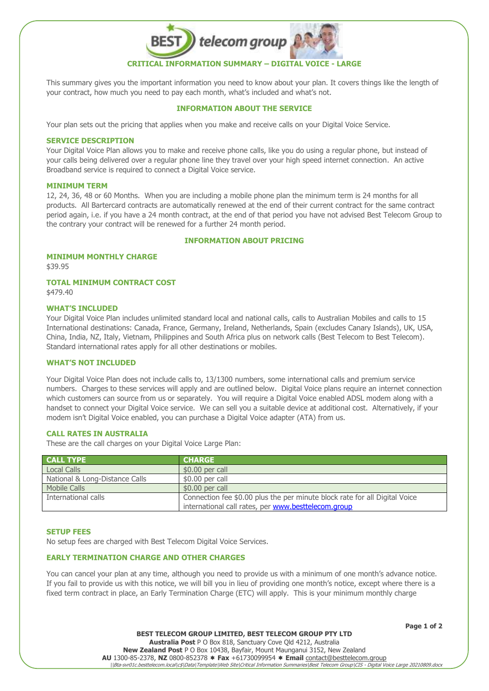

This summary gives you the important information you need to know about your plan. It covers things like the length of your contract, how much you need to pay each month, what's included and what's not.

# **INFORMATION ABOUT THE SERVICE**

Your plan sets out the pricing that applies when you make and receive calls on your Digital Voice Service.

#### **SERVICE DESCRIPTION**

Your Digital Voice Plan allows you to make and receive phone calls, like you do using a regular phone, but instead of your calls being delivered over a regular phone line they travel over your high speed internet connection. An active Broadband service is required to connect a Digital Voice service.

## **MINIMUM TERM**

12, 24, 36, 48 or 60 Months. When you are including a mobile phone plan the minimum term is 24 months for all products. All Bartercard contracts are automatically renewed at the end of their current contract for the same contract period again, i.e. if you have a 24 month contract, at the end of that period you have not advised Best Telecom Group to the contrary your contract will be renewed for a further 24 month period.

#### **INFORMATION ABOUT PRICING**

# **MINIMUM MONTHLY CHARGE**

\$39.95

# **TOTAL MINIMUM CONTRACT COST**

\$479.40

#### **WHAT'S INCLUDED**

Your Digital Voice Plan includes unlimited standard local and national calls, calls to Australian Mobiles and calls to 15 International destinations: Canada, France, Germany, Ireland, Netherlands, Spain (excludes Canary Islands), UK, USA, China, India, NZ, Italy, Vietnam, Philippines and South Africa plus on network calls (Best Telecom to Best Telecom). Standard international rates apply for all other destinations or mobiles.

# **WHAT'S NOT INCLUDED**

Your Digital Voice Plan does not include calls to, 13/1300 numbers, some international calls and premium service numbers. Charges to these services will apply and are outlined below. Digital Voice plans require an internet connection which customers can source from us or separately. You will require a Digital Voice enabled ADSL modem along with a handset to connect your Digital Voice service. We can sell you a suitable device at additional cost. Alternatively, if your modem isn't Digital Voice enabled, you can purchase a Digital Voice adapter (ATA) from us.

#### **CALL RATES IN AUSTRALIA**

These are the call charges on your Digital Voice Large Plan:

| <b>CALL TYPE</b>               | <b>CHARGE</b>                                                                                                                     |
|--------------------------------|-----------------------------------------------------------------------------------------------------------------------------------|
| <b>Local Calls</b>             | $$0.00$ per call                                                                                                                  |
| National & Long-Distance Calls | \$0.00 per call                                                                                                                   |
| <b>Mobile Calls</b>            | $$0.00$ per call                                                                                                                  |
| International calls            | Connection fee \$0.00 plus the per minute block rate for all Digital Voice<br>international call rates, per www.besttelecom.group |

#### **SETUP FEES**

No setup fees are charged with Best Telecom Digital Voice Services.

# **EARLY TERMINATION CHARGE AND OTHER CHARGES**

You can cancel your plan at any time, although you need to provide us with a minimum of one month's advance notice. If you fail to provide us with this notice, we will bill you in lieu of providing one month's notice, except where there is a fixed term contract in place, an Early Termination Charge (ETC) will apply. This is your minimum monthly charge

**Page 1 of 2**